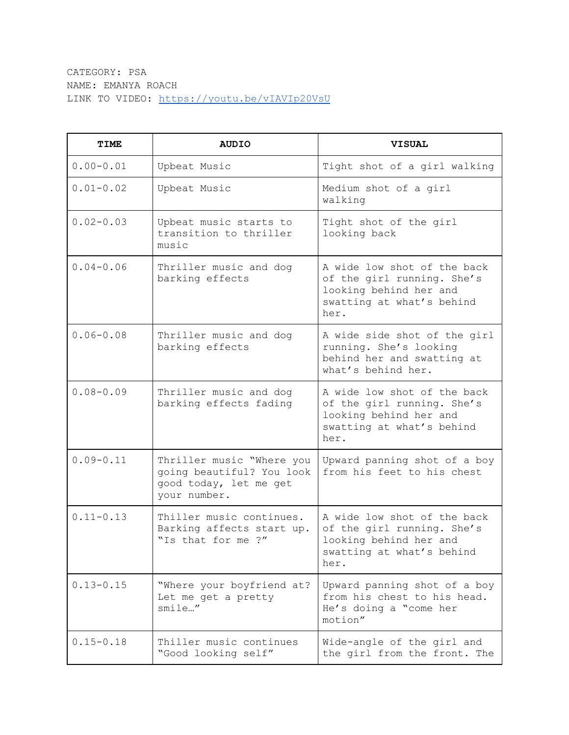CATEGORY: PSA NAME: EMANYA ROACH LINK TO VIDEO: <https://youtu.be/vIAVIp20VsU>

| <b>TIME</b>   | <b>AUDIO</b>                                                                                     | <b>VISUAL</b>                                                                                                            |
|---------------|--------------------------------------------------------------------------------------------------|--------------------------------------------------------------------------------------------------------------------------|
| $0.00 - 0.01$ | Upbeat Music                                                                                     | Tight shot of a girl walking                                                                                             |
| $0.01 - 0.02$ | Upbeat Music                                                                                     | Medium shot of a girl<br>walking                                                                                         |
| $0.02 - 0.03$ | Upbeat music starts to<br>transition to thriller<br>music                                        | Tight shot of the girl<br>looking back                                                                                   |
| $0.04 - 0.06$ | Thriller music and dog<br>barking effects                                                        | A wide low shot of the back<br>of the girl running. She's<br>looking behind her and<br>swatting at what's behind<br>her. |
| $0.06 - 0.08$ | Thriller music and dog<br>barking effects                                                        | A wide side shot of the girl<br>running. She's looking<br>behind her and swatting at<br>what's behind her.               |
| $0.08 - 0.09$ | Thriller music and dog<br>barking effects fading                                                 | A wide low shot of the back<br>of the girl running. She's<br>looking behind her and<br>swatting at what's behind<br>her. |
| $0.09 - 0.11$ | Thriller music "Where you<br>going beautiful? You look<br>good today, let me get<br>your number. | Upward panning shot of a boy<br>from his feet to his chest                                                               |
| $0.11 - 0.13$ | Thiller music continues.<br>Barking affects start up.<br>"Is that for me ?"                      | A wide low shot of the back<br>of the girl running. She's<br>looking behind her and<br>swatting at what's behind<br>her. |
| $0.13 - 0.15$ | "Where your boyfriend at?<br>Let me get a pretty<br>smile"                                       | Upward panning shot of a boy<br>from his chest to his head.<br>He's doing a "come her<br>motion"                         |
| $0.15 - 0.18$ | Thiller music continues<br>"Good looking self"                                                   | Wide-angle of the girl and<br>the girl from the front. The                                                               |